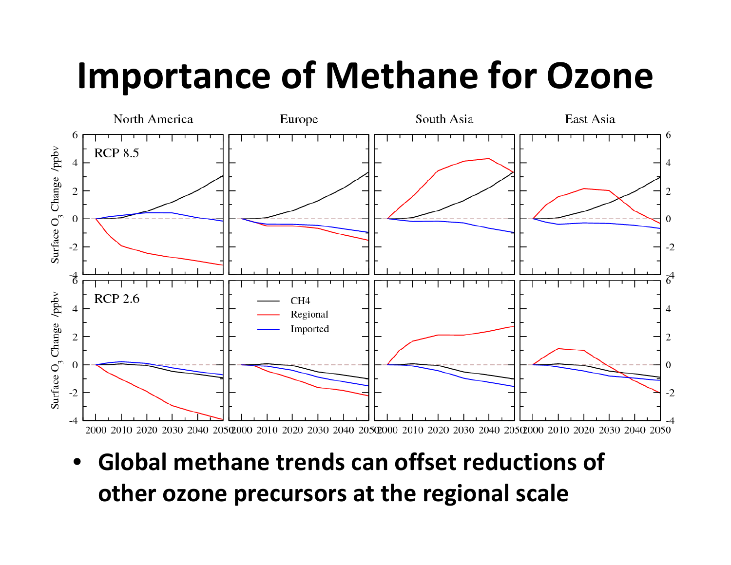## Importance of Methane for Ozone



• Global methane trends can offset reductions of other ozone precursors at the regional scale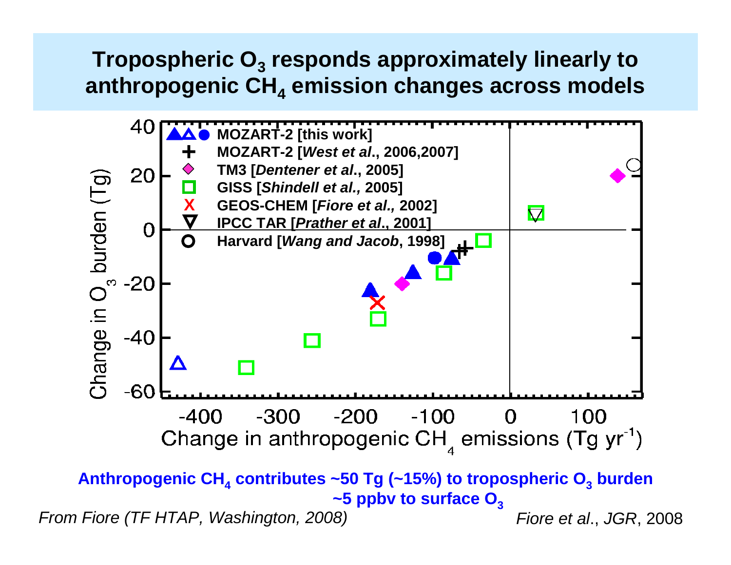### **Tropospheric O3 responds approximately linearly to anthropogenic CH4 emission changes across models**

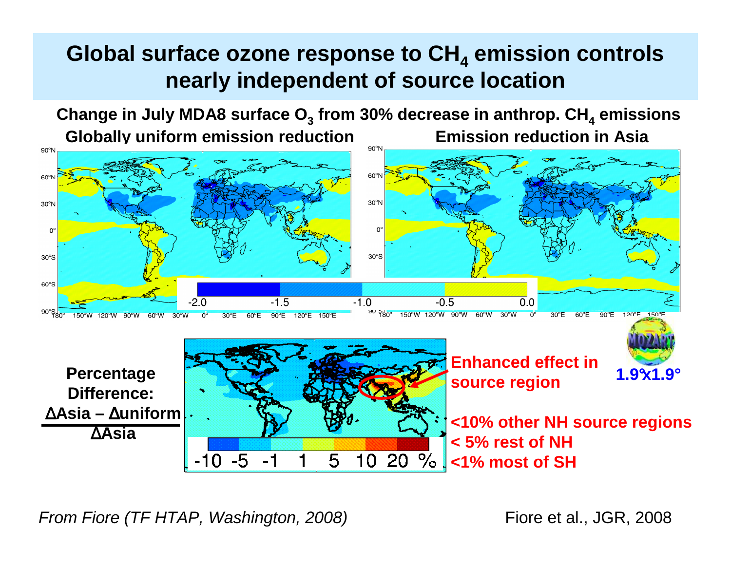#### **Global surface ozone response to CH4 nearly independent of source locationemission controls**



From Fiore (TF HTAP, Washington, 2008)

Fiore et al., JGR, 2008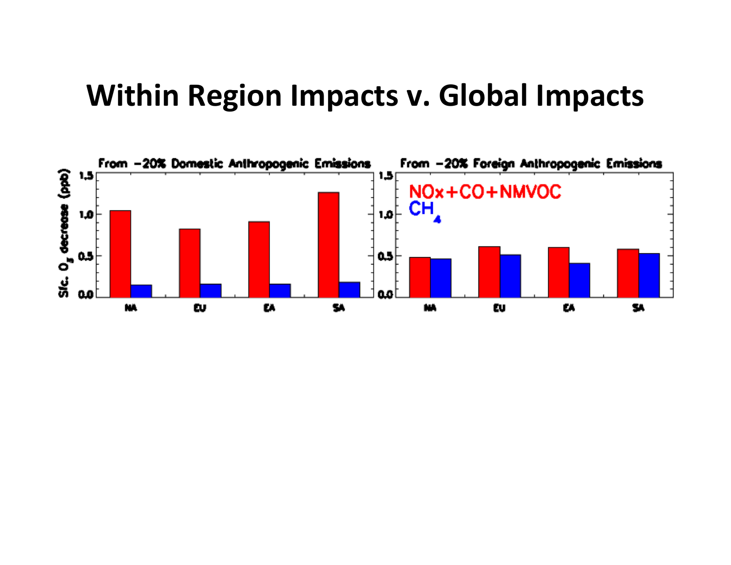### Within Region Impacts v. Global Impacts

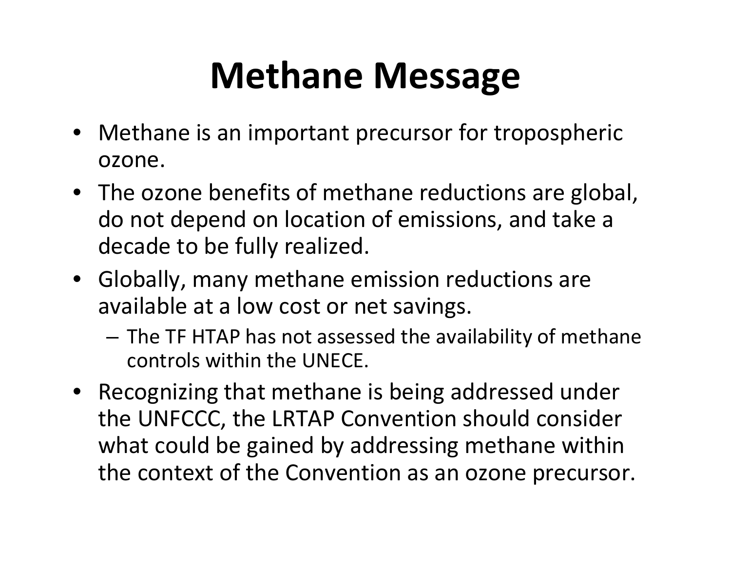# Methane Message

- Methane is an important precursor for tropospheric ozone.
- The ozone benefits of methane reductions are global, do not depend on location of emissions, and take a decade to be fully realized.
- Globally, many methane emission reductions are available at a low cost or net savings.
	- –- The TF HTAP has not assessed the availability of methane controls within the UNECE.
- Recognizing that methane is being addressed under the UNFCCC, the LRTAP Convention should consider what could be gained by addressing methane within the context of the Convention as an ozone precursor.